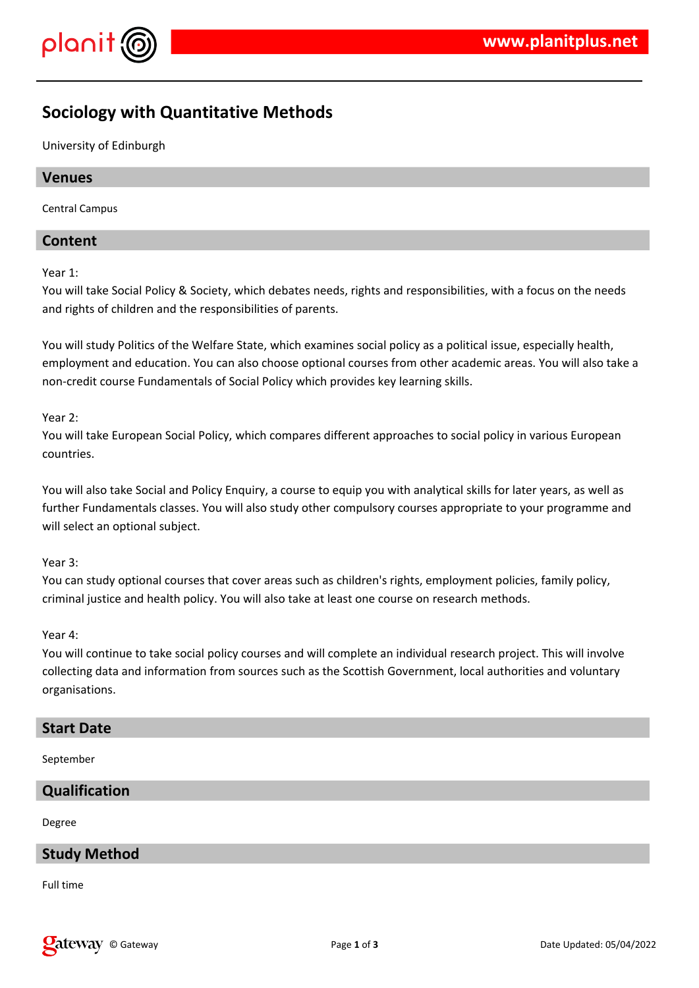

# **Sociology with Quantitative Methods**

University of Edinburgh

## **Venues**

Central Campus

# **Content**

Year 1:

You will take Social Policy & Society, which debates needs, rights and responsibilities, with a focus on the needs and rights of children and the responsibilities of parents.

You will study Politics of the Welfare State, which examines social policy as a political issue, especially health, employment and education. You can also choose optional courses from other academic areas. You will also take a non-credit course Fundamentals of Social Policy which provides key learning skills.

Year 2:

You will take European Social Policy, which compares different approaches to social policy in various European countries.

You will also take Social and Policy Enquiry, a course to equip you with analytical skills for later years, as well as further Fundamentals classes. You will also study other compulsory courses appropriate to your programme and will select an optional subject.

Year 3:

You can study optional courses that cover areas such as children's rights, employment policies, family policy, criminal justice and health policy. You will also take at least one course on research methods.

#### Year 4:

You will continue to take social policy courses and will complete an individual research project. This will involve collecting data and information from sources such as the Scottish Government, local authorities and voluntary organisations.

#### **Start Date**

September

# **Qualification**

Degree

# **Study Method**

Full time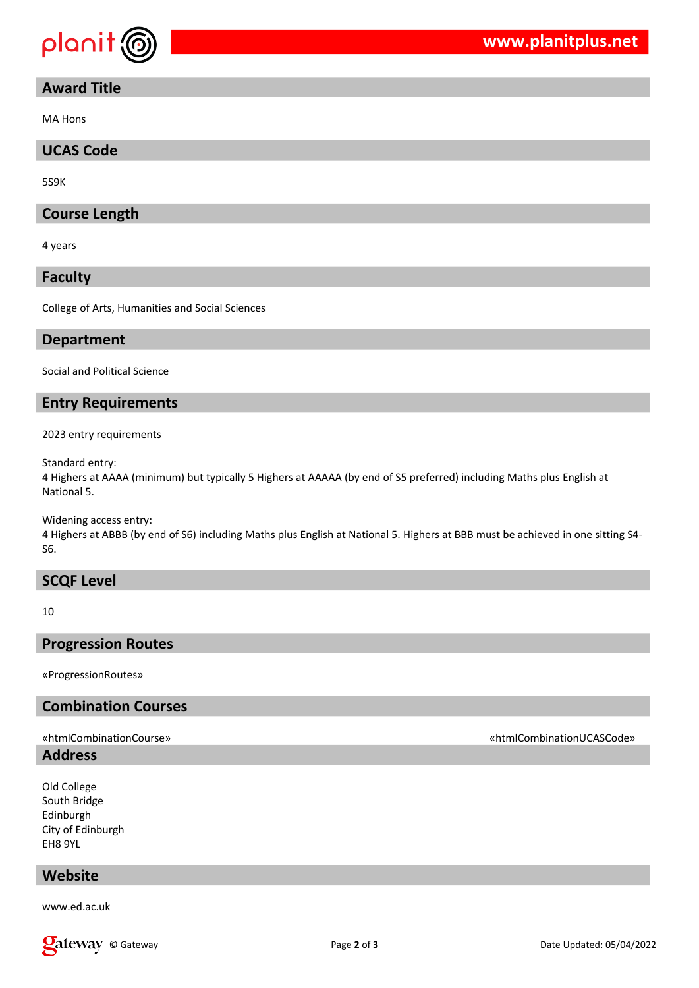

# **Award Title**

MA Hons

## **UCAS Code**

5S9K

## **Course Length**

4 years

**Faculty**

College of Arts, Humanities and Social Sciences

#### **Department**

Social and Political Science

#### **Entry Requirements**

2023 entry requirements

Standard entry:

4 Highers at AAAA (minimum) but typically 5 Highers at AAAAA (by end of S5 preferred) including Maths plus English at National 5.

Widening access entry:

4 Highers at ABBB (by end of S6) including Maths plus English at National 5. Highers at BBB must be achieved in one sitting S4- S6.

#### **SCQF Level**

10

## **Progression Routes**

«ProgressionRoutes»

## **Combination Courses**

# **Address**

Old College South Bridge Edinburgh City of Edinburgh EH8 9YL

# **Website**

www.ed.ac.uk

#### «htmlCombinationCourse» «htmlCombinationUCASCode»